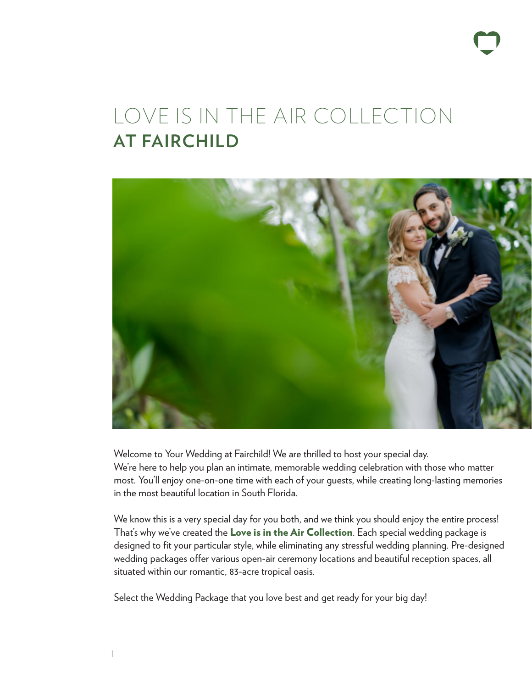# LOVE IS IN THE AIR COLLECTION **AT FAIRCHILD**



Welcome to Your Wedding at Fairchild! We are thrilled to host your special day. We're here to help you plan an intimate, memorable wedding celebration with those who matter most. You'll enjoy one-on-one time with each of your guests, while creating long-lasting memories in the most beautiful location in South Florida.

We know this is a very special day for you both, and we think you should enjoy the entire process! That's why we've created the Love is in the Air Collection. Each special wedding package is designed to fit your particular style, while eliminating any stressful wedding planning. Pre-designed wedding packages offer various open-air ceremony locations and beautiful reception spaces, all situated within our romantic, 83-acre tropical oasis.

Select the Wedding Package that you love best and get ready for your big day!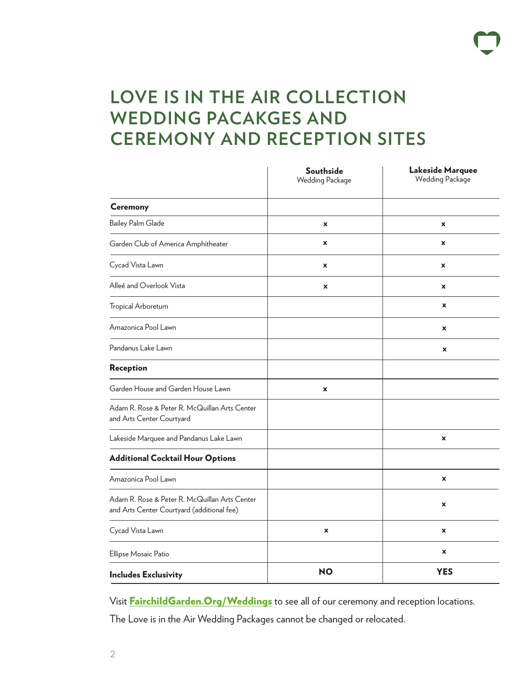## **LOVE IS IN THE AIR COLLECTION WEDDING PACAKGES AND CEREMONY AND RECEPTION SITES**

|                                                                                             | <b>Southside</b><br><b>Wedding Package</b> | <b>Lakeside Marquee</b><br><b>Wedding Package</b> |
|---------------------------------------------------------------------------------------------|--------------------------------------------|---------------------------------------------------|
| <b>Ceremony</b>                                                                             |                                            |                                                   |
| <b>Bailey Palm Glade</b>                                                                    | x                                          | X                                                 |
| Garden Club of America Amphitheater                                                         | X                                          | $\mathbf x$                                       |
| Cycad Vista Lawn                                                                            | X                                          | $\mathbf x$                                       |
| Alleé and Overlook Vista                                                                    | $\mathbf x$                                | X                                                 |
| Tropical Arboretum                                                                          |                                            | $\pmb{\mathsf{x}}$                                |
| Amazonica Pool Lawn                                                                         |                                            | $\pmb{\mathsf{x}}$                                |
| Pandanus Lake Lawn                                                                          |                                            | X                                                 |
| Reception                                                                                   |                                            |                                                   |
| Garden House and Garden House Lawn                                                          | $\pmb{\times}$                             |                                                   |
| Adam R. Rose & Peter R. McQuillan Arts Center<br>and Arts Center Courtyard                  |                                            |                                                   |
| Lakeside Marquee and Pandanus Lake Lawn                                                     |                                            | $\pmb{\mathsf{x}}$                                |
| <b>Additional Cocktail Hour Options</b>                                                     |                                            |                                                   |
| Amazonica Pool Lawn                                                                         |                                            | $\pmb{\mathsf{x}}$                                |
| Adam R. Rose & Peter R. McQuillan Arts Center<br>and Arts Center Courtyard (additional fee) |                                            | X                                                 |
| Cycad Vista Lawn                                                                            | $\pmb{\mathsf{x}}$                         | X                                                 |
| Ellipse Mosaic Patio                                                                        |                                            | $\pmb{\mathsf{x}}$                                |
| <b>Includes Exclusivity</b>                                                                 | <b>NO</b>                                  | <b>YES</b>                                        |

Visit **FairchildGarden. Org/Weddings** to see all of our ceremony and reception locations.

The Love is in the Air Wedding Packages cannot be changed or relocated.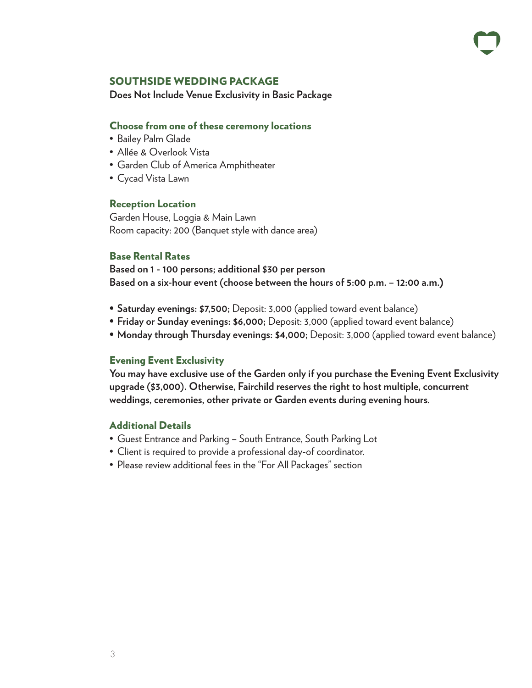#### SOUTHSIDE WEDDING PACKAGE

**Does Not Include Venue Exclusivity in Basic Package**

#### Choose from one of these ceremony locations

- Bailey Palm Glade
- Allée & Overlook Vista
- Garden Club of America Amphitheater
- Cycad Vista Lawn

#### Reception Location

Garden House, Loggia & Main Lawn Room capacity: 200 (Banquet style with dance area)

#### Base Rental Rates

**Based on 1 - 100 persons; additional \$30 per person Based on a six-hour event (choose between the hours of 5:00 p.m. – 12:00 a.m.**)

- **• Saturday evenings: \$7,500;** Deposit: 3,000 (applied toward event balance)
- **• Friday or Sunday evenings: \$6,000;** Deposit: 3,000 (applied toward event balance)
- **• Monday through Thursday evenings: \$4,000;** Deposit: 3,000 (applied toward event balance)

#### Evening Event Exclusivity

**You may have exclusive use of the Garden only if you purchase the Evening Event Exclusivity upgrade (\$3,000). Otherwise, Fairchild reserves the right to host multiple, concurrent weddings, ceremonies, other private or Garden events during evening hours.**

#### Additional Details

- Guest Entrance and Parking South Entrance, South Parking Lot
- Client is required to provide a professional day-of coordinator.
- Please review additional fees in the "For All Packages" section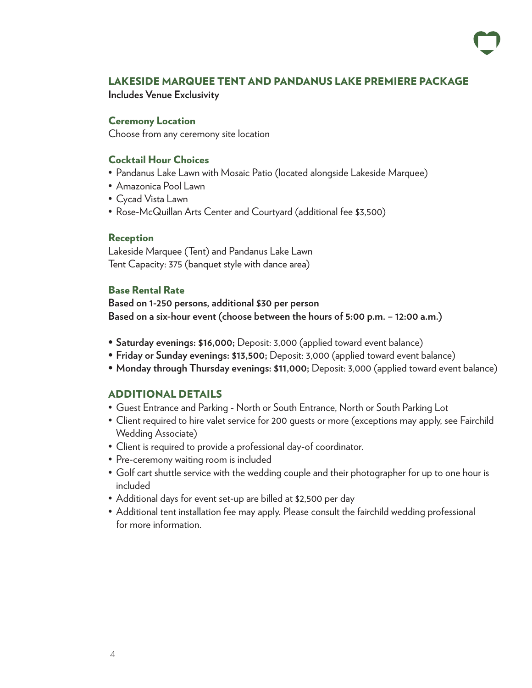#### LAKESIDE MARQUEE TENT AND PANDANUS LAKE PREMIERE PACKAGE

**Includes Venue Exclusivity**

#### Ceremony Location

Choose from any ceremony site location

#### Cocktail Hour Choices

- Pandanus Lake Lawn with Mosaic Patio (located alongside Lakeside Marquee)
- Amazonica Pool Lawn
- Cycad Vista Lawn
- Rose-McQuillan Arts Center and Courtyard (additional fee \$3,500)

#### Reception

Lakeside Marquee (Tent) and Pandanus Lake Lawn Tent Capacity: 375 (banquet style with dance area)

#### Base Rental Rate

**Based on 1-250 persons, additional \$30 per person Based on a six-hour event (choose between the hours of 5:00 p.m. – 12:00 a.m.)**

- **• Saturday evenings: \$16,000;** Deposit: 3,000 (applied toward event balance)
- **• Friday or Sunday evenings: \$13,500;** Deposit: 3,000 (applied toward event balance)
- **• Monday through Thursday evenings: \$11,000;** Deposit: 3,000 (applied toward event balance)

#### ADDITIONAL DETAILS

- Guest Entrance and Parking North or South Entrance, North or South Parking Lot
- Client required to hire valet service for 200 guests or more (exceptions may apply, see Fairchild Wedding Associate)
- Client is required to provide a professional day-of coordinator.
- Pre-ceremony waiting room is included
- Golf cart shuttle service with the wedding couple and their photographer for up to one hour is included
- Additional days for event set-up are billed at \$2,500 per day
- Additional tent installation fee may apply. Please consult the fairchild wedding professional for more information.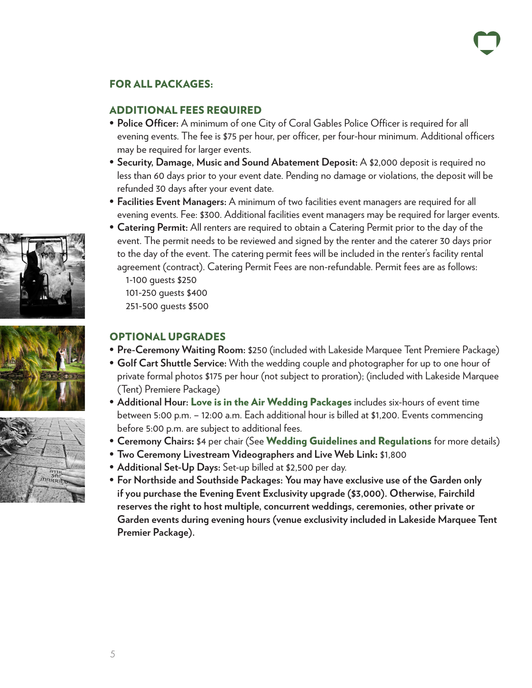### FOR ALL PACKAGES:

### ADDITIONAL FEES REQUIRED

- **• Police Officer:** A minimum of one City of Coral Gables Police Officer is required for all evening events. The fee is \$75 per hour, per officer, per four-hour minimum. Additional officers may be required for larger events.
- **• Security, Damage, Music and Sound Abatement Deposit:** A \$2,000 deposit is required no less than 60 days prior to your event date. Pending no damage or violations, the deposit will be refunded 30 days after your event date.
- **• Facilities Event Managers:** A minimum of two facilities event managers are required for all evening events. Fee: \$300. Additional facilities event managers may be required for larger events.
- **• Catering Permit:** All renters are required to obtain a Catering Permit prior to the day of the event. The permit needs to be reviewed and signed by the renter and the caterer 30 days prior to the day of the event. The catering permit fees will be included in the renter's facility rental agreement (contract). Catering Permit Fees are non-refundable. Permit fees are as follows:
	- 1-100 guests \$250 101-250 guests \$400
	- 251-500 guests \$500

### OPTIONAL UPGRADES

- **• Pre-Ceremony Waiting Room:** \$250 (included with Lakeside Marquee Tent Premiere Package)
- **• Golf Cart Shuttle Service:** With the wedding couple and photographer for up to one hour of private formal photos \$175 per hour (not subject to proration); (included with Lakeside Marquee (Tent) Premiere Package)
- **• Additional Hour:** Love is in the Air Wedding Packages includes six-hours of event time between 5:00 p.m. – 12:00 a.m. Each additional hour is billed at \$1,200. Events commencing before 5:00 p.m. are subject to additional fees.
- **• Ceremony Chairs**: \$4 per chair (See Wedding Guidelines and Regulations for more details)
- **• Two Ceremony Livestream Videographers and Live Web Link**: \$1,800
- **• Additional Set-Up Days:** Set-up billed at \$2,500 per day.
- **• For Northside and Southside Packages: You may have exclusive use of the Garden only if you purchase the Evening Event Exclusivity upgrade (\$3,000). Otherwise, Fairchild reserves the right to host multiple, concurrent weddings, ceremonies, other private or Garden events during evening hours (venue exclusivity included in Lakeside Marquee Tent Premier Package).**